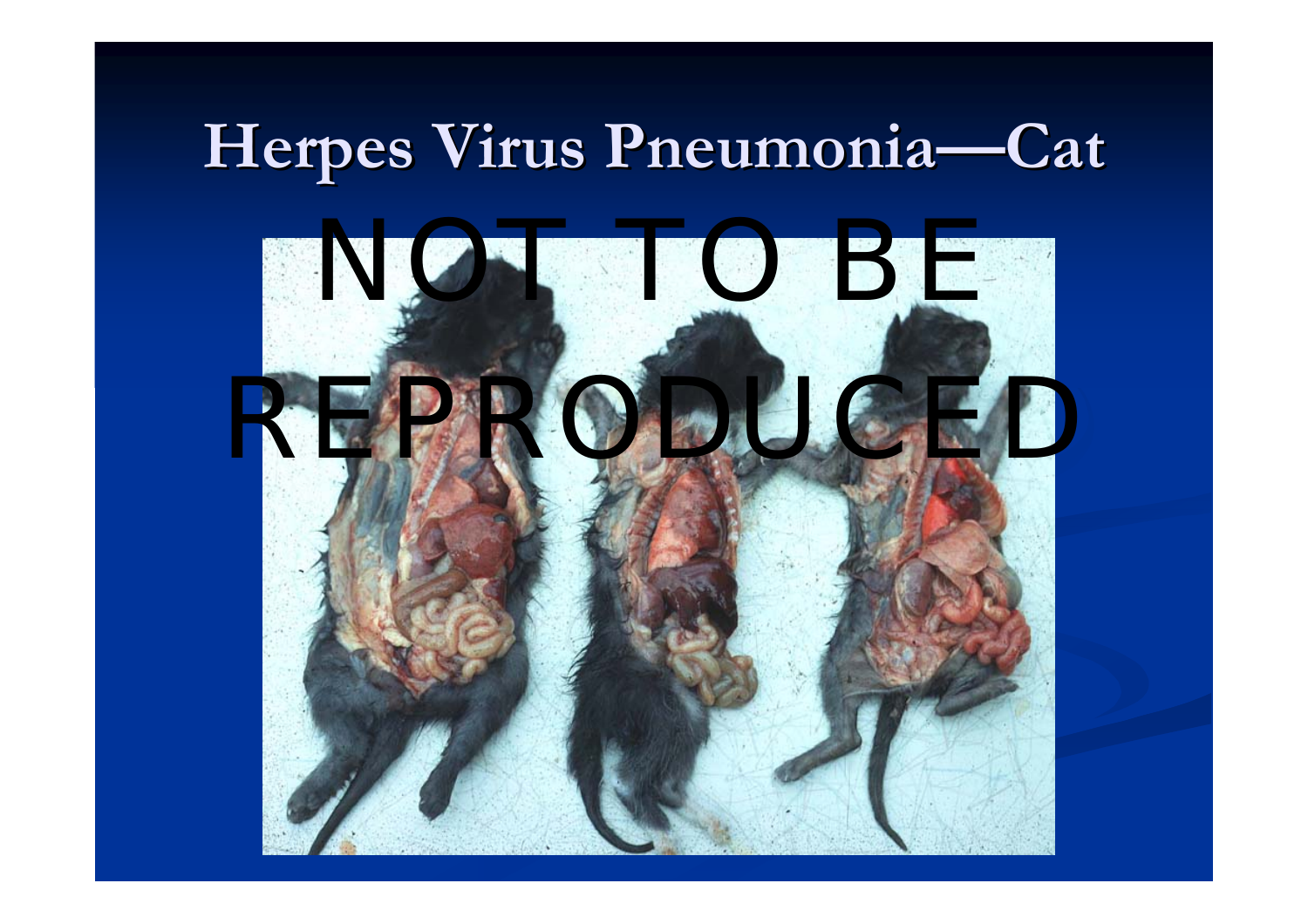#### **Herpes Virus Pneumonia Herpes Virus Pneumonia—Cat**

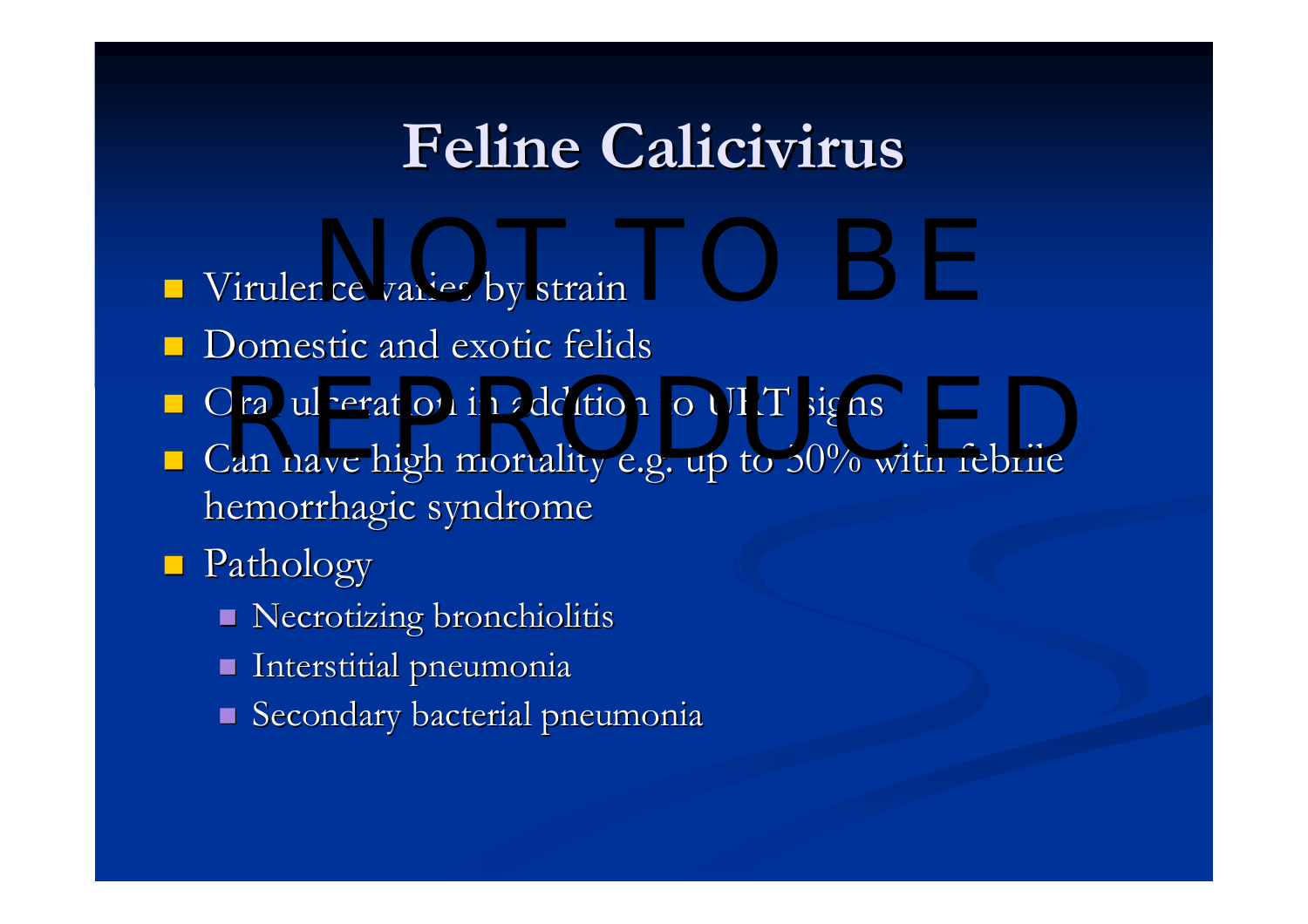#### **Feline Calicivirus Calicivirus**

- Virulence varies by strain
- **Domestic and exotic felids**
- Oral ulceration in addition to URT signs<br>Representative or up to  $50\%$  with fabrile
- $\blacksquare$  Can have high mortality e.g. up to 50% with febrile hemorrhagic syndrome
- Pathology Pathology
	- **Necrotizing bronchiolitis**
	- $\blacksquare$  Interstitial pneumonia
	- $\blacksquare$  Secondary bacterial pneumonia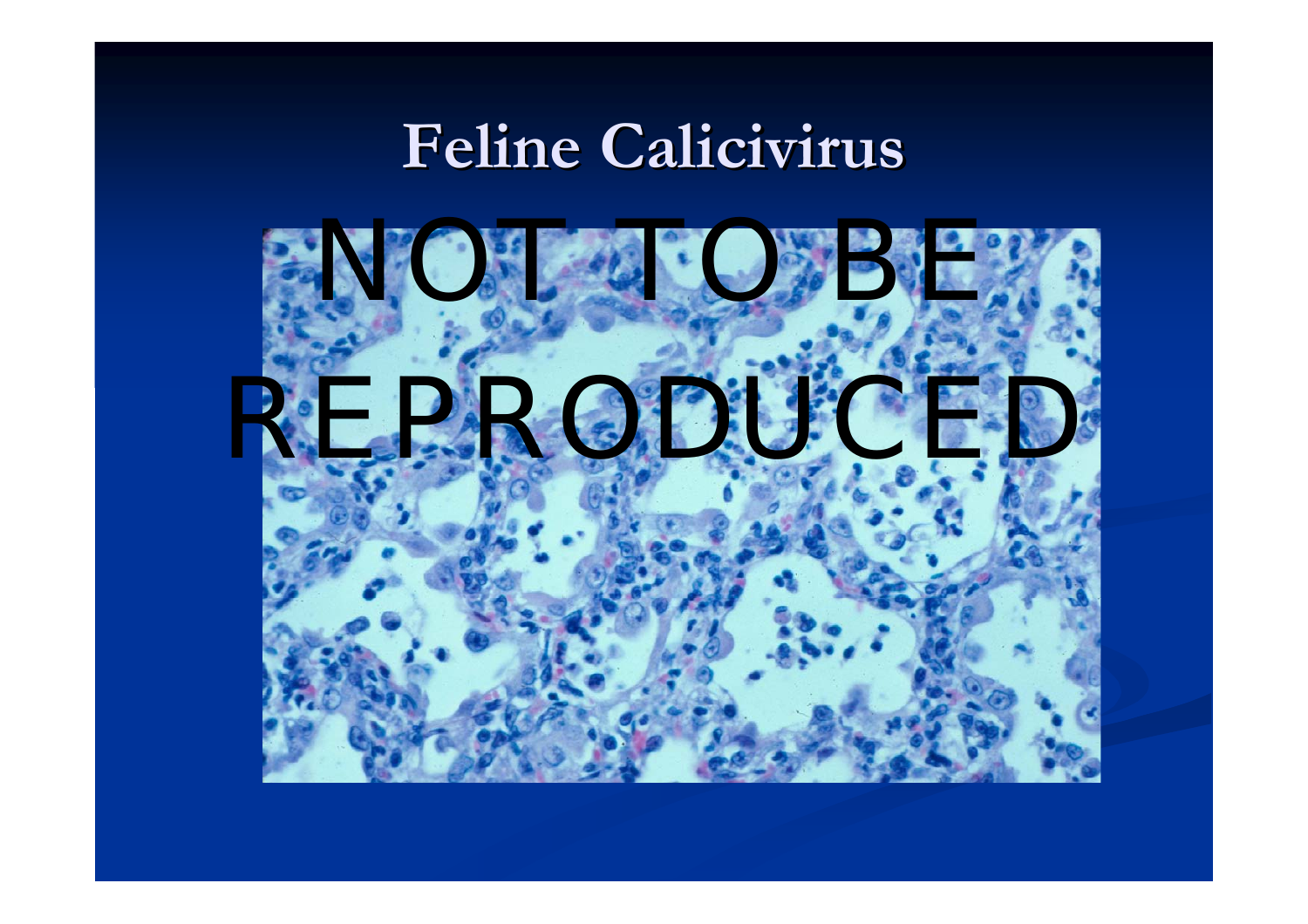#### **Feline Calicivirus Calicivirus**

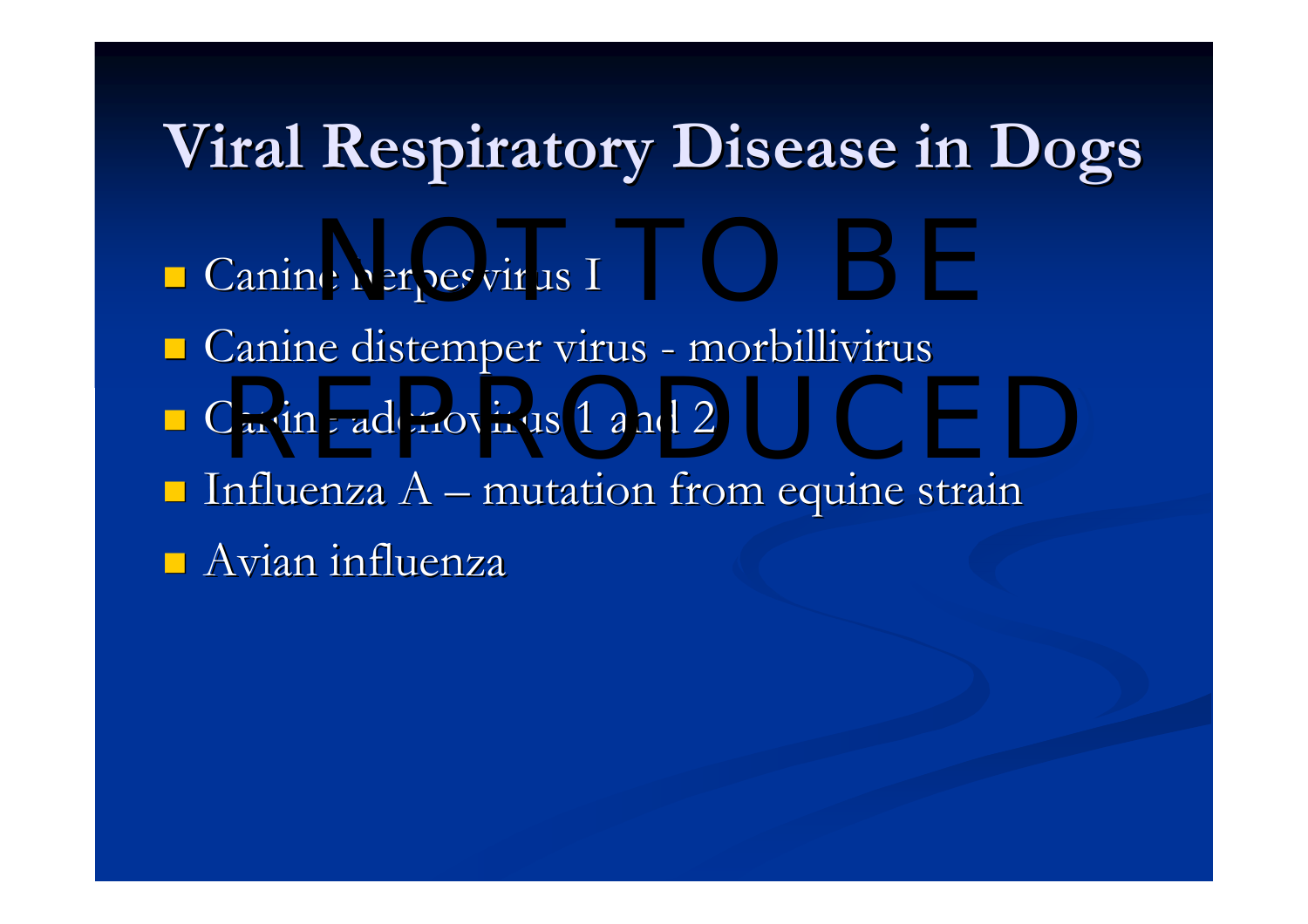### **Viral Respiratory Disease in Dogs Viral Respiratory Disease in Dogs**

- Canine herpesvirus I
- **E** Canine distemper virus - morbillivirus
- $\blacksquare$  Canine adenovirus 1 and 2 Canine adenovirus 1 and 2
- $\blacksquare$  Influenza A – mutation from equine strain
- $\blacksquare$  Avian influenza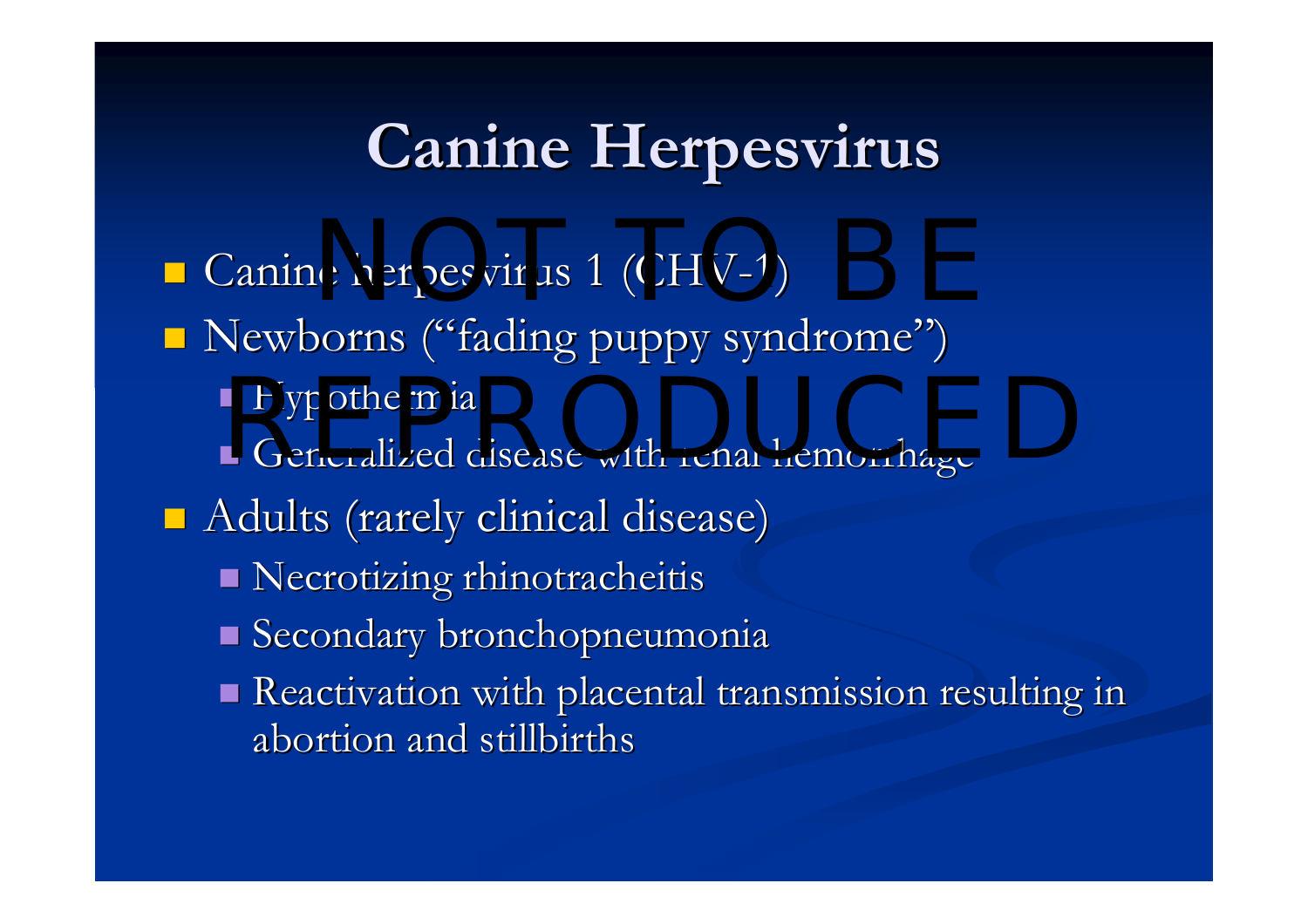### **Canine Herpesvirus Herpesvirus**

■ Canine herpesvirus 1 (CHV-1) Newborns ("fading puppy syndrome")  $\blacksquare$  Hypothermia  $\blacksquare$  Generalized disease with renal hemorrhage  $\blacksquare$  Adults (rarely clinical disease) Necrotizing rhinotracheitis Secondary bronchopneumonia Reactivation with placental transmission resulting in abortion and stillbirths abortion and stillbirths Bypothermia<br>Reperalized disease with repal bemorrhage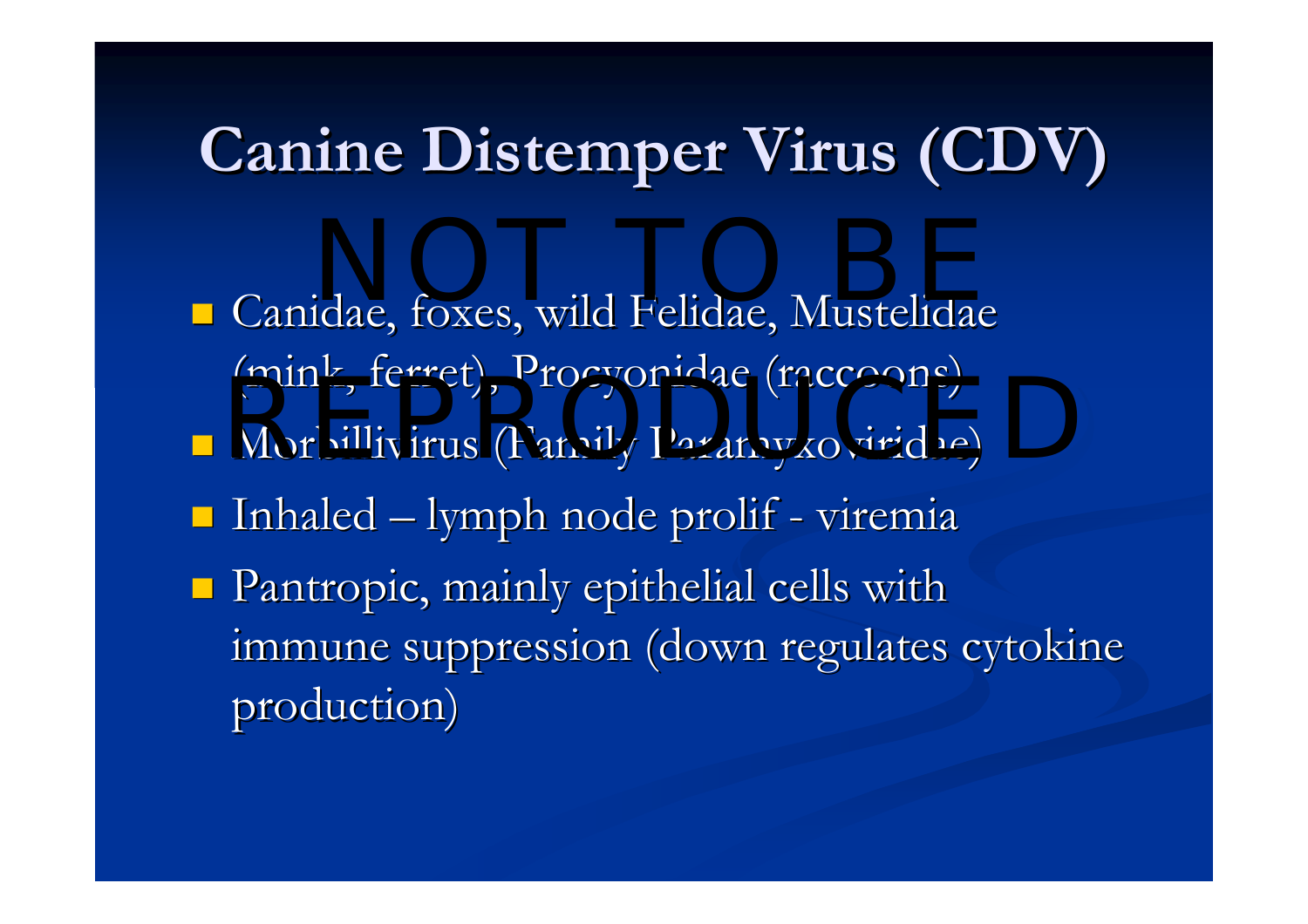## **Canine Distemper Virus (CDV)**

**E** Canidae, foxes, wild Felidae, Mustelidae (mink, ferret), Procyonidae (raccoons) **- Morbillivirus (Family Paramyxoviridae)**  $\blacksquare$  Inhaled  $\blacksquare$  $-$  lymph node prolif - viremia  $\blacksquare$  Pantropic, mainly epithelial cells with immune suppression (down regulates cytokine production) NOT TO BE (Innis, Ichce), i rocyonidae (Iaccoons)<br>Morbillivirus (Family Paramyxoviridae)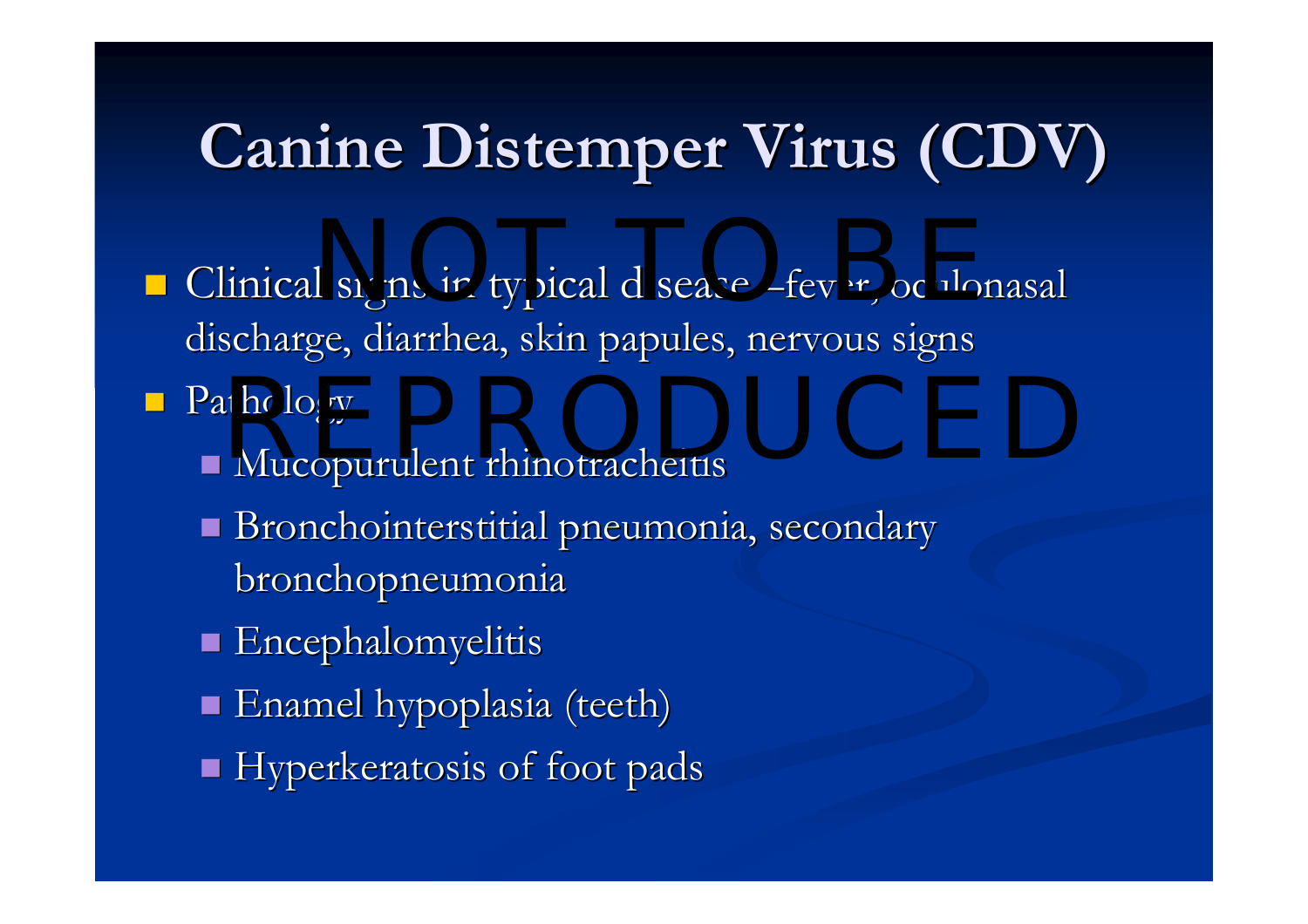# **Canine Distemper Virus (CDV) Canine Distemper Virus (CDV)**

- Clinical signs in typical disease –fever, oculonasal discharge, diarrhea, skin papules, nervous signs
- **Pathology**
- $\blacksquare$  Mucopurulent rhinotracheitis REPRODUCED
	- Bronchointerstitial pneumonia, secondary bronchopneumonia
	- **Encephalomyelitis**
	- $\blacksquare$  Enamel hypoplasia (teeth)
	- Hyperkeratosis of foot pads Hyperkeratosis of foot pads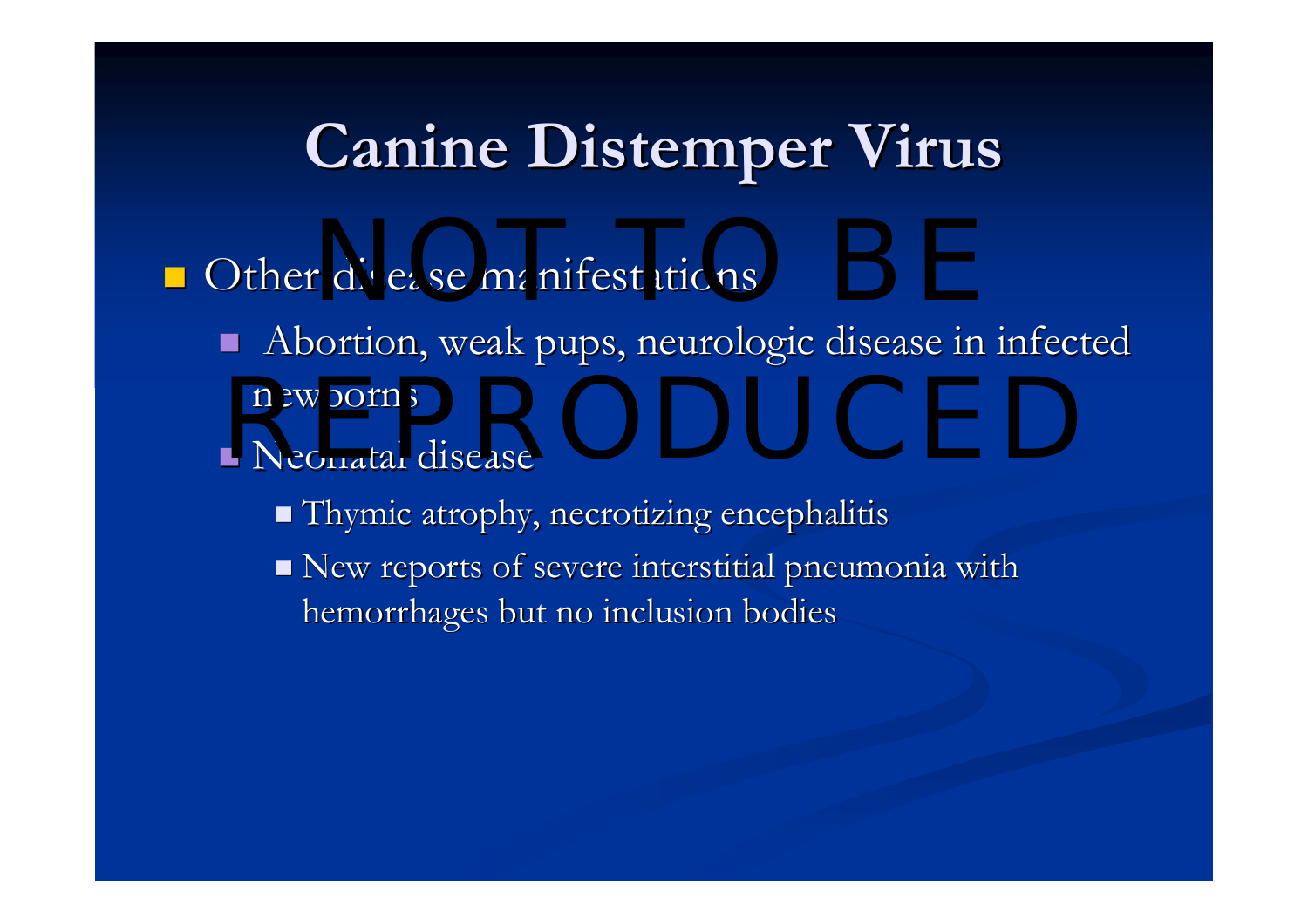#### **Canine Distemper Virus Canine Distemper Virus**

- **O**ther disease manifestations
	- $\blacksquare$ Abortion, weak pups, neurologic disease in infected newborns newborns<br>Neonatal disease
	- $\blacksquare$  Neonatal disease
		- $\blacksquare$  Thymic atrophy, necrotizing encephalitis
		- $\blacksquare$  New reports of severe interstitial pneumonia with hemorrhages but no inclusion bodies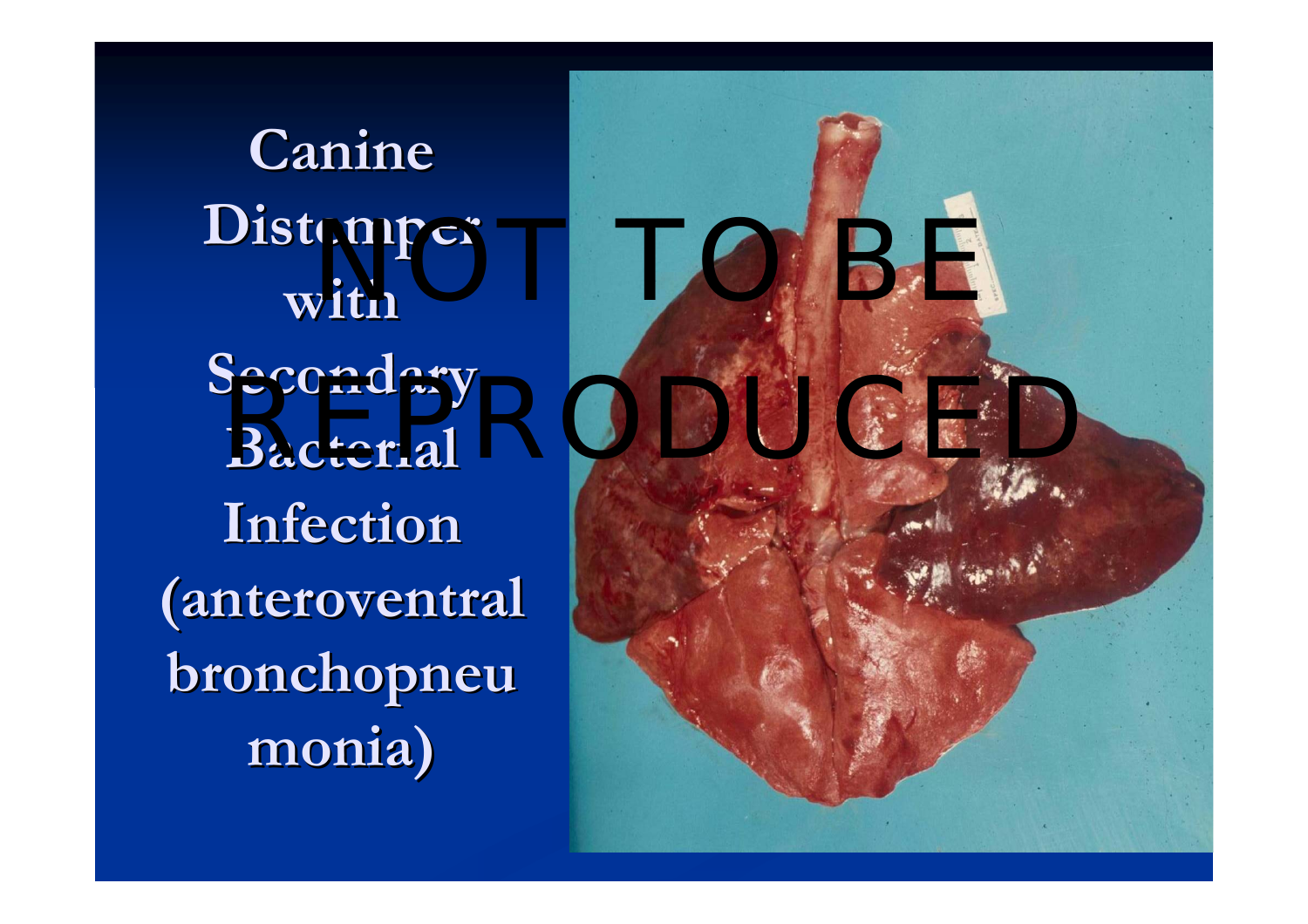**Canine Distemper Distemper with Secondary Infection Infection (anteroventral anteroventral**  $\overline{\text{bronchopneu}}$ **monia)**